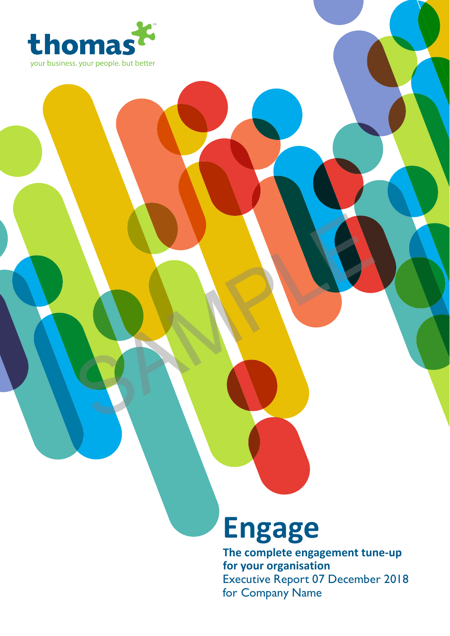

# **Engage**

SAMPLE

**The complete engagement tune-up for your organisation** Executive Report 07 December 2018 for Company Name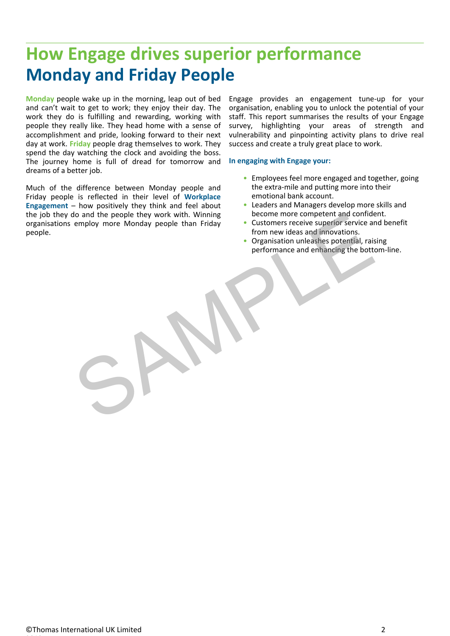## **How Engage drives superior performance Monday and Friday People**

**Monday** people wake up in the morning, leap out of bed and can't wait to get to work; they enjoy their day. The work they do is fulfilling and rewarding, working with people they really like. They head home with a sense of accomplishment and pride, looking forward to their next day at work. **Friday** people drag themselves to work. They spend the day watching the clock and avoiding the boss. The journey home is full of dread for tomorrow and dreams of a better job.

Much of the difference between Monday people and Friday people is reflected in their level of **Workplace Engagement** – how positively they think and feel about the job they do and the people they work with. Winning organisations employ more Monday people than Friday people. France discountier and contract and contract and contract and contract and contract and control engels than Friday<br>engines the contract of the contract of the contract of the contract of the contract of the contract of the

Engage provides an engagement tune-up for your organisation, enabling you to unlock the potential of your staff. This report summarises the results of your Engage survey, highlighting your areas of strength and vulnerability and pinpointing activity plans to drive real success and create a truly great place to work.

#### **In engaging with Engage your:**

- Employees feel more engaged and together, going the extra-mile and putting more into their emotional bank account.
- Leaders and Managers develop more skills and become more competent and confident.
- Customers receive superior service and benefit from new ideas and innovations.
- Organisation unleashes potential, raising performance and enhancing the bottom-line.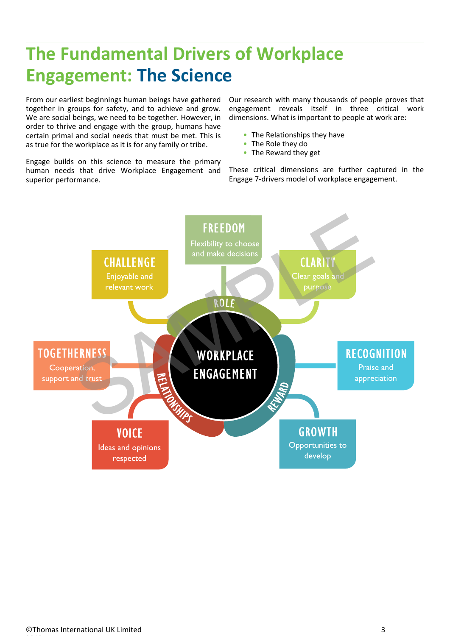## **The Fundamental Drivers of Workplace Engagement: The Science**

From our earliest beginnings human beings have gathered together in groups for safety, and to achieve and grow. We are social beings, we need to be together. However, in order to thrive and engage with the group, humans have certain primal and social needs that must be met. This is as true for the workplace as it is for any family or tribe.

Engage builds on this science to measure the primary human needs that drive Workplace Engagement and These critical dimensions are further captured<br>Engage 7-drivers model of workplace engagement. superior performance.

Our research with many thousands of people proves that engagement reveals itself in three critical work dimensions. What is important to people at work are:

- The Relationships they have
- The Role they do **Figure 1**
- The Reward they get

These critical dimensions are further captured in the • The Relationships they have<br>• The Role they do<br>• The Reward they get<br>These critical dimensions are further captured in the<br>Engage 7-drivers model of workplace engagement.

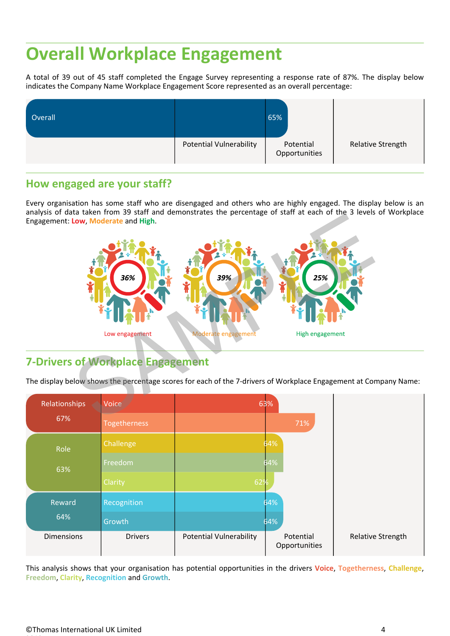## **Overall Workplace Engagement**

A total of 39 out of 45 staff completed the Engage Survey representing a response rate of 87%. The display below indicates the Company Name Workplace Engagement Score represented as an overall percentage:

| Overall |                                | 65%                        |                   |
|---------|--------------------------------|----------------------------|-------------------|
|         | <b>Potential Vulnerability</b> | Potential<br>Opportunities | Relative Strength |

#### **How engaged are your staff?**

Every organisation has some staff who are disengaged and others who are highly engaged. The display below is an analysis of data taken from 39 staff and demonstrates the percentage of staff at each of the 3 levels of Workplace Engagement: **Low**, **Moderate** and **High**.



### **7-Drivers of Workplace Engagement**

The display below shows the percentage scores for each of the 7-drivers of Workplace Engagement at Company Name:

| Relationships     | Voice            |                                | 63%                        |  |
|-------------------|------------------|--------------------------------|----------------------------|--|
| 67%               | Togetherness     |                                | 71%                        |  |
| Role              | <b>Challenge</b> |                                | 64%                        |  |
| 63%               | Freedom          |                                | 64%                        |  |
|                   | Clarity          | 62%                            |                            |  |
| Reward            | Recognition      |                                | 64%                        |  |
| 64%               | Growth           |                                | 64%                        |  |
| <b>Dimensions</b> | <b>Drivers</b>   | <b>Potential Vulnerability</b> | Potential<br>Opportunities |  |

This analysis shows that your organisation has potential opportunities in the drivers **Voice**, **Togetherness**, **Challenge**, **Freedom**, **Clarity**, **Recognition** and **Growth**.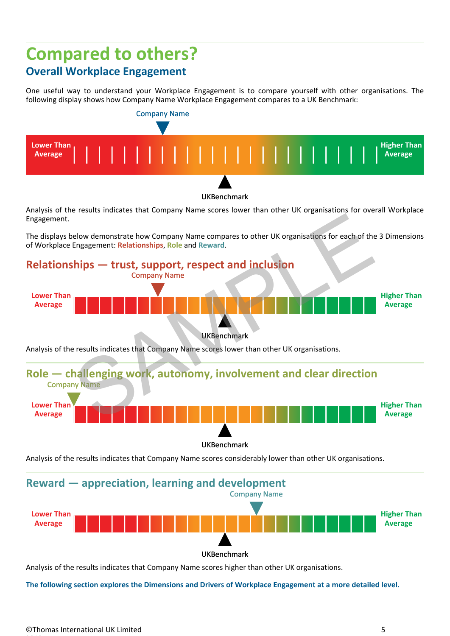### **Compared to others? Overall Workplace Engagement**

One useful way to understand your Workplace Engagement is to compare yourself with other organisations. The following display shows how Company Name Workplace Engagement compares to a UK Benchmark:



Analysis of the results indicates that Company Name scores lower than other UK organisations for overall Workplace Engagement.

The displays below demonstrate how Company Name compares to other UK organisations for each of the 3 Dimensions of Workplace Engagement: **Relationships**, **Role** and **Reward**.



Analysis of the results indicates that Company Name scores considerably lower than other UK organisations.

**Reward — appreciation, learning and development** Company Name



Analysis of the results indicates that Company Name scores higher than other UK organisations.

**The following section explores the Dimensions and Drivers of Workplace Engagement at a more detailed level.**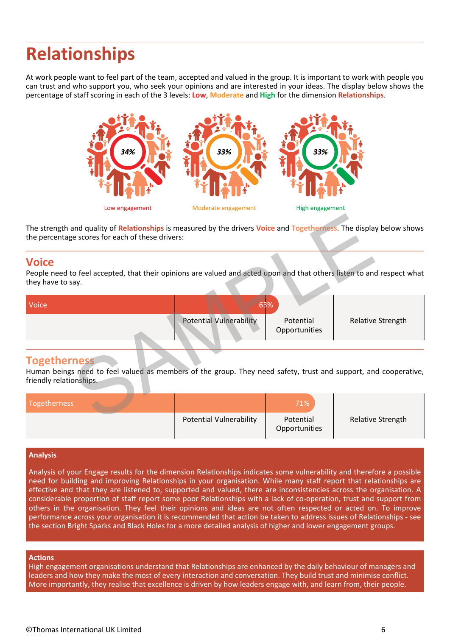## **Relationships**

At work people want to feel part of the team, accepted and valued in the group. It is important to work with people you can trust and who support you, who seek your opinions and are interested in your ideas. The display below shows the percentage of staff scoring in each of the 3 levels: **Low**, **Moderate** and **High** for the dimension **Relationships**.



### **Voice**

| The strength and quality of Relationships is measured by the drivers Voice and Togetherness. The display below shows<br>the percentage scores for each of these drivers: |                                |                            |                   |
|--------------------------------------------------------------------------------------------------------------------------------------------------------------------------|--------------------------------|----------------------------|-------------------|
| <b>Voice</b><br>People need to feel accepted, that their opinions are valued and acted upon and that others listen to and respect what<br>they have to say.              |                                |                            |                   |
| Voice                                                                                                                                                                    |                                | 63%                        |                   |
|                                                                                                                                                                          | <b>Potential Vulnerability</b> | Potential<br>Opportunities | Relative Strength |
| <b>Togetherness</b><br>Human beings need to feel valued as members of the group. They need safety, trust and support, and cooperative,<br>friendly relationships.        |                                |                            |                   |
| <b>Togetherness</b>                                                                                                                                                      |                                | 71%                        |                   |
|                                                                                                                                                                          | Potential Vulnerability        | Potential                  | Relative Strength |

#### **Togetherness**

| Togetherness |                                | 71%                        |                   |
|--------------|--------------------------------|----------------------------|-------------------|
|              | <b>Potential Vulnerability</b> | Potential<br>Opportunities | Relative Strength |

#### **Analysis**

Analysis of your Engage results for the dimension Relationships indicates some vulnerability and therefore a possible need for building and improving Relationships in your organisation. While many staff report that relationships are effective and that they are listened to, supported and valued, there are inconsistencies across the organisation. A considerable proportion of staff report some poor Relationships with a lack of co-operation, trust and support from others in the organisation. They feel their opinions and ideas are not often respected or acted on. To improve performance across your organisation it is recommended that action be taken to address issues of Relationships - see the section Bright Sparks and Black Holes for a more detailed analysis of higher and lower engagement groups.

#### **Actions**

High engagement organisations understand that Relationships are enhanced by the daily behaviour of managers and leaders and how they make the most of every interaction and conversation. They build trust and minimise conflict. More importantly, they realise that excellence is driven by how leaders engage with, and learn from, their people.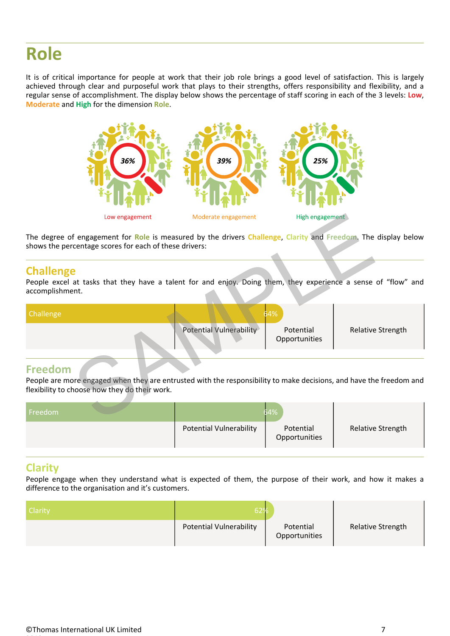## **Role**

It is of critical importance for people at work that their job role brings a good level of satisfaction. This is largely achieved through clear and purposeful work that plays to their strengths, offers responsibility and flexibility, and a regular sense of accomplishment. The display below shows the percentage of staff scoring in each of the 3 levels: **Low**, **Moderate** and **High** for the dimension **Role**.



#### **Challenge**

|                                     | Low engagement                                         | Moderate engagement                                                                                                 | High engagement            |                   |
|-------------------------------------|--------------------------------------------------------|---------------------------------------------------------------------------------------------------------------------|----------------------------|-------------------|
|                                     | shows the percentage scores for each of these drivers: | The degree of engagement for Role is measured by the drivers Challenge, Clarity and Freedom. The display below      |                            |                   |
| <b>Challenge</b><br>accomplishment. |                                                        | People excel at tasks that they have a talent for and enjoy. Doing them, they experience a sense of "flow" and      |                            |                   |
| Challenge                           |                                                        |                                                                                                                     |                            |                   |
|                                     |                                                        | Potential Vulnerability                                                                                             | Potential<br>Opportunities | Relative Strength |
| <b>Freedom</b>                      |                                                        |                                                                                                                     |                            |                   |
|                                     | flexibility to choose how they do their work.          | People are more engaged when they are entrusted with the responsibility to make decisions, and have the freedom and |                            |                   |
| Freedom                             |                                                        | 64%                                                                                                                 |                            |                   |

### **Freedom**

| Freedom |                         |                            |                          |  |
|---------|-------------------------|----------------------------|--------------------------|--|
|         | Potential Vulnerability | Potential<br>Opportunities | <b>Relative Strength</b> |  |

#### **Clarity**

People engage when they understand what is expected of them, the purpose of their work, and how it makes a difference to the organisation and it's customers.

| Clarity | 52%                            |                            |                          |
|---------|--------------------------------|----------------------------|--------------------------|
|         | <b>Potential Vulnerability</b> | Potential<br>Opportunities | <b>Relative Strength</b> |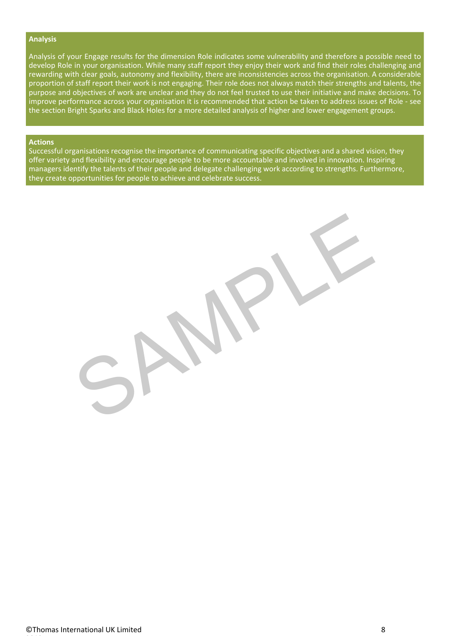#### **Analysis**

Analysis of your Engage results for the dimension Role indicates some vulnerability and therefore a possible need to develop Role in your organisation. While many staff report they enjoy their work and find their roles challenging and rewarding with clear goals, autonomy and flexibility, there are inconsistencies across the organisation. A considerable proportion of staff report their work is not engaging. Their role does not always match their strengths and talents, the purpose and objectives of work are unclear and they do not feel trusted to use their initiative and make decisions. To improve performance across your organisation it is recommended that action be taken to address issues of Role - see the section Bright Sparks and Black Holes for a more detailed analysis of higher and lower engagement groups.

#### **Actions**

Successful organisations recognise the importance of communicating specific objectives and a shared vision, they offer variety and flexibility and encourage people to be more accountable and involved in innovation. Inspiring managers identify the talents of their people and delegate challenging work according to strengths. Furthermore, they create opportunities for people to achieve and celebrate success.

SAMPLE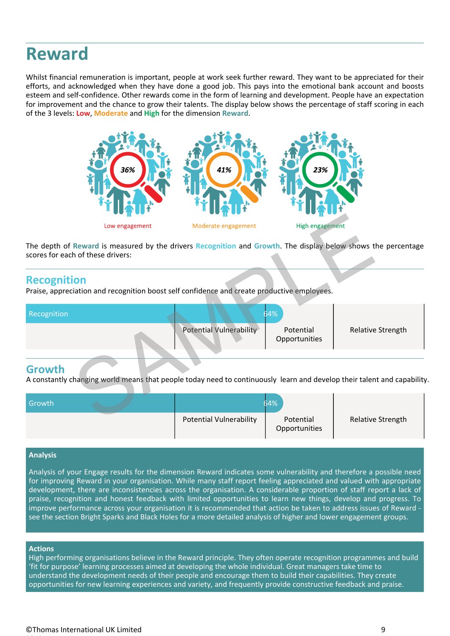## **Reward**

Whilst financial remuneration is important, people at work seek further reward. They want to be appreciated for their efforts, and acknowledged when they have done a good job. This pays into the emotional bank account and boosts esteem and self-confidence. Other rewards come in the form of learning and development. People have an expectation for improvement and the chance to grow their talents. The display below shows the percentage of staff scoring in each of the 3 levels: **Low**, **Moderate** and **High** for the dimension **Reward**.



#### **Recognition**

|                                   | $\sim$ $\,$ $\,$ $\sim$ $\,$ | $\sim$ $\,$ $\,$ $\sim$ $\,$                                                                                            | $\sim$ 11 $\sim$           |                   |
|-----------------------------------|------------------------------|-------------------------------------------------------------------------------------------------------------------------|----------------------------|-------------------|
|                                   | Low engagement               | Moderate engagement                                                                                                     | High engagement            |                   |
| scores for each of these drivers: |                              | The depth of Reward is measured by the drivers Recognition and Growth. The display below shows the percentage           |                            |                   |
| <b>Recognition</b>                |                              | Praise, appreciation and recognition boost self confidence and create productive employees.                             |                            |                   |
| Recognition                       |                              | 64%                                                                                                                     |                            |                   |
|                                   |                              | Potential Vulnerability                                                                                                 | Potential<br>Opportunities | Relative Strength |
| <b>Growth</b>                     |                              | A constantly changing world means that people today need to continuously learn and develop their talent and capability. |                            |                   |
| Growth                            |                              | 64%                                                                                                                     |                            |                   |
|                                   |                              | Potential Vulnerability                                                                                                 | Potential                  | Relative Strength |

#### **Growth**

| Growth |                                | 64%                        |                          |
|--------|--------------------------------|----------------------------|--------------------------|
|        | <b>Potential Vulnerability</b> | Potential<br>Opportunities | <b>Relative Strength</b> |

#### **Analysis**

Analysis of your Engage results for the dimension Reward indicates some vulnerability and therefore a possible need for improving Reward in your organisation. While many staff report feeling appreciated and valued with appropriate development, there are inconsistencies across the organisation. A considerable proportion of staff report a lack of praise, recognition and honest feedback with limited opportunities to learn new things, develop and progress. To improve performance across your organisation it is recommended that action be taken to address issues of Reward<br>see the section Bright Sparks and Black Holes for a more detailed analysis of higher and lower engagement grou

#### **Actions**

High performing organisations believe in the Reward principle. They often operate recognition programmes and build 'fit for purpose' learning processes aimed at developing the whole individual. Great managers take time to understand the development needs of their people and encourage them to build their capabilities. They create opportunities for new learning experiences and variety, and frequently provide constructive feedback and praise.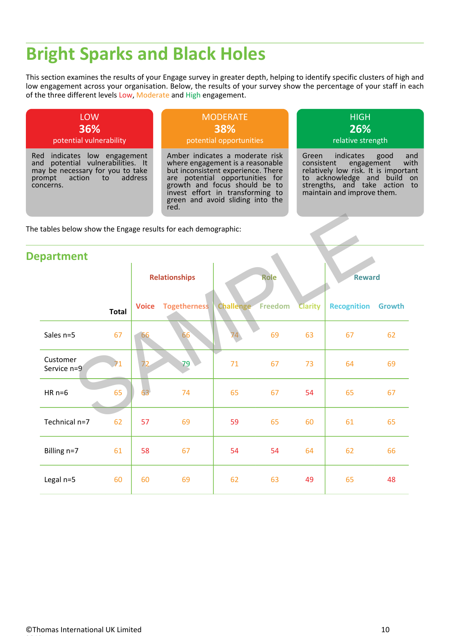## **Bright Sparks and Black Holes**

This section examines the results of your Engage survey in greater depth, helping to identify specific clusters of high and low engagement across your organisation. Below, the results of your survey show the percentage of your staff in each of the three different levels Low, Moderate and High engagement.



| The tables below show the Engage results for each demographic: |              |                      |              |           |         |                |                    |        |  |
|----------------------------------------------------------------|--------------|----------------------|--------------|-----------|---------|----------------|--------------------|--------|--|
| <b>Department</b>                                              |              |                      |              |           |         |                |                    |        |  |
|                                                                |              | <b>Relationships</b> |              |           | Role    |                | <b>Reward</b>      |        |  |
|                                                                | <b>Total</b> | <b>Voice</b>         | Togetherness | Challenge | Freedom | <b>Clarity</b> | <b>Recognition</b> | Growth |  |
| Sales n=5                                                      | 67           | 66                   | 66           | 74        | 69      | 63             | 67                 | 62     |  |
| Customer<br>Service n=9                                        |              | 72                   | 79           | $71\,$    | 67      | 73             | 64                 | 69     |  |
| $HR n=6$                                                       | 65           | 63                   | 74           | 65        | 67      | 54             | 65                 | 67     |  |
| Technical n=7                                                  | 62           | 57                   | 69           | 59        | 65      | 60             | 61                 | 65     |  |
| Billing n=7                                                    | 61           | 58                   | 67           | 54        | 54      | 64             | 62                 | 66     |  |
| Legal n=5                                                      | 60           | 60                   | 69           | 62        | 63      | 49             | 65                 | 48     |  |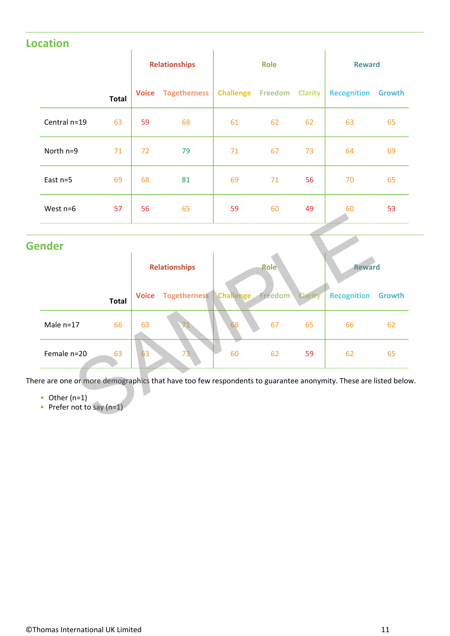### **Location**

|              |       | <b>Relationships</b> |                     | Role                     |    |                | <b>Reward</b>             |    |
|--------------|-------|----------------------|---------------------|--------------------------|----|----------------|---------------------------|----|
|              | Total | <b>Voice</b>         | <b>Togetherness</b> | <b>Challenge Freedom</b> |    | <b>Clarity</b> | <b>Recognition Growth</b> |    |
| Central n=19 | 63    | 59                   | 68                  | 61                       | 62 | 62             | 63                        | 65 |
| North n=9    | 71    | 72                   | 79                  | 71                       | 67 | 73             | 64                        | 69 |
| East n=5     | 69    | 68                   | 81                  | 69                       | 71 | 56             | 70                        | 65 |
| West n=6     | 57    | 56                   | 65                  | 59                       | 60 | 49             | 60                        | 53 |

### **Gender**

| ender             |              |                        |    |             |                |                    |               |  |  |
|-------------------|--------------|------------------------|----|-------------|----------------|--------------------|---------------|--|--|
|                   |              | <b>Relationships</b>   |    | <b>Role</b> |                |                    | <b>Reward</b> |  |  |
| <b>Total</b>      | <b>Voice</b> | Togetherness Challenge |    | Freedom     | <b>Clarity</b> | <b>Recognition</b> | Growth        |  |  |
| 66<br>Male $n=17$ | 63           |                        | 68 | 67          | 65             | 66                 | 62            |  |  |
| Female n=20<br>63 | 63           | 73                     | 60 | 62          | 59             | 62                 | 65            |  |  |

- $\bullet$  Other (n=1)
- Other (n=1)<br>• Prefer not to say (n=1)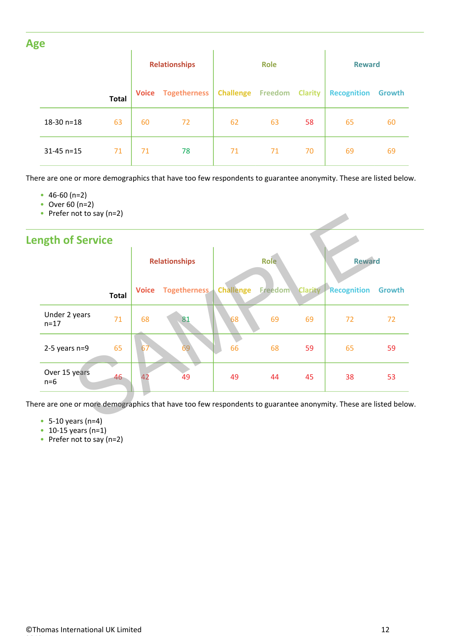| <b>Age</b> |              |              |                      |              |                                  |    |    |                    |        |
|------------|--------------|--------------|----------------------|--------------|----------------------------------|----|----|--------------------|--------|
|            |              |              | <b>Relationships</b> |              | <b>Role</b>                      |    |    | <b>Reward</b>      |        |
|            |              | <b>Total</b> | <b>Voice</b>         | Togetherness | <b>Challenge Freedom Clarity</b> |    |    | <b>Recognition</b> | Growth |
|            | $18-30$ n=18 | 63           | 60                   | 72           | 62                               | 63 | 58 | 65                 | 60     |
|            | $31-45$ n=15 | 71           | 71                   | 78           | 71                               | 71 | 70 | 69                 | 69     |

There are one or more demographics that have too few respondents to guarantee anonymity. These are listed below.

- $46-60$  (n=2)
- Over 60 (n=2)
- Prefer not to say (n=2)

| <b>Length of Service</b>  |              |              |                          |             |                        |    |                    |        |
|---------------------------|--------------|--------------|--------------------------|-------------|------------------------|----|--------------------|--------|
|                           |              |              | <b>Relationships</b>     | <b>Role</b> |                        |    | <b>Reward</b>      |        |
|                           | <b>Total</b> | <b>Voice</b> | Togetherness   Challenge |             | <b>Freedom Clarity</b> |    | <b>Recognition</b> | Growth |
| Under 2 years<br>$n = 17$ | 71           | 68           | 81                       | 68          | 69                     | 69 | 72                 | 72     |
| $2-5$ years n=9           | 65           | 67           | 69                       | 66          | 68                     | 59 | 65                 | 59     |
| Over 15 years<br>$n=6$    | 46           |              | 49                       | 49          | 44                     | 45 | 38                 | 53     |

- 5-10 years (n=4)
- 10-15 years (n=1)
- Prefer not to say (n=2)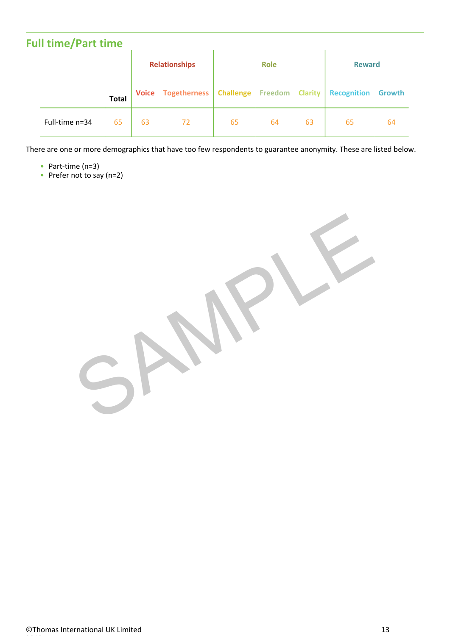| <b>Full time/Part time</b> |              |                      |                                                |             |    |    |                    |        |
|----------------------------|--------------|----------------------|------------------------------------------------|-------------|----|----|--------------------|--------|
|                            |              | <b>Relationships</b> |                                                | <b>Role</b> |    |    | <b>Reward</b>      |        |
|                            | <b>Total</b> |                      | Voice Togetherness   Challenge Freedom Clarity |             |    |    | <b>Recognition</b> | Growth |
| Full-time n=34             | 65           | 63                   | 72                                             | 65          | 64 | 63 | 65                 | 64     |

There are one or more demographics that have too few respondents to guarantee anonymity. These are listed below.

- Part-time  $(n=3)$
- Part-time (n=3)<br>• Prefer not to say (n=2)

SAMPLE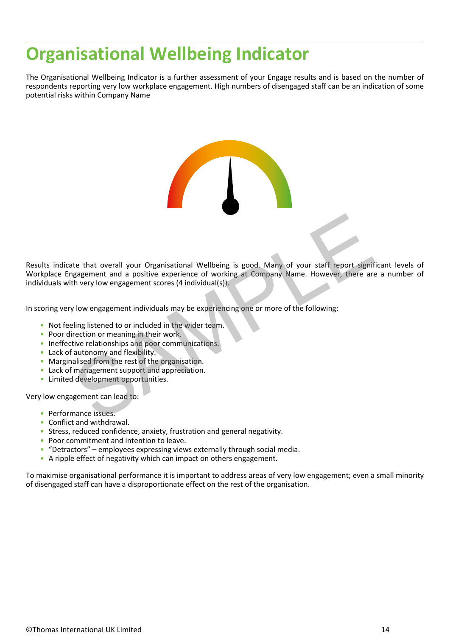## **Organisational Wellbeing Indicator**

The Organisational Wellbeing Indicator is a further assessment of your Engage results and is based on the number of respondents reporting very low workplace engagement. High numbers of disengaged staff can be an indication of some potential risks within Company Name

Results indicate that overall your Organisational Wellbeing is good. Many of your staff report significant levels of Workplace Engagement and a positive experience of working at Company Name. However, there are a number of individuals with very low engagement scores (4 individual(s)). te that overall your Organisational Wellbeing is good. Many of your staff report signifiagement and a positive experience of working at Company Name. However, there are<br>th very low engagement scores (4 individual(s)).<br>Jow

In scoring very low engagement individuals may be experiencing one or more of the following:

- Not feeling listened to or included in the wider team.
- Poor direction or meaning in their work.
- Ineffective relationships and poor communications.
- Lack of autonomy and flexibility.
- Marginalised from the rest of the organisation.
- Lack of management support and appreciation. •
- Limited development opportunities.

Very low engagement can lead to:

- Performance issues.
- Conflict and withdrawal.
- Stress, reduced confidence, anxiety, frustration and general negativity.
- Poor commitment and intention to leave.
- "Detractors" employees expressing views externally through social media.
- A ripple effect of negativity which can impact on others engagement.

To maximise organisational performance it is important to address areas of very low engagement; even a small minority of disengaged staff can have a disproportionate effect on the rest of the organisation.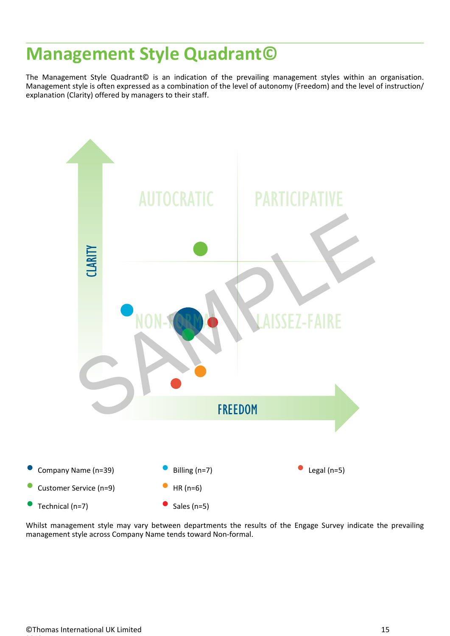### **Management Style Quadrant©**

The Management Style Quadrant© is an indication of the prevailing management styles within an organisation. Management style is often expressed as a combination of the level of autonomy (Freedom) and the level of instruction/ explanation (Clarity) offered by managers to their staff.



Whilst management style may vary between departments the results of the Engage Survey indicate the prevailing management style across Company Name tends toward Non-formal.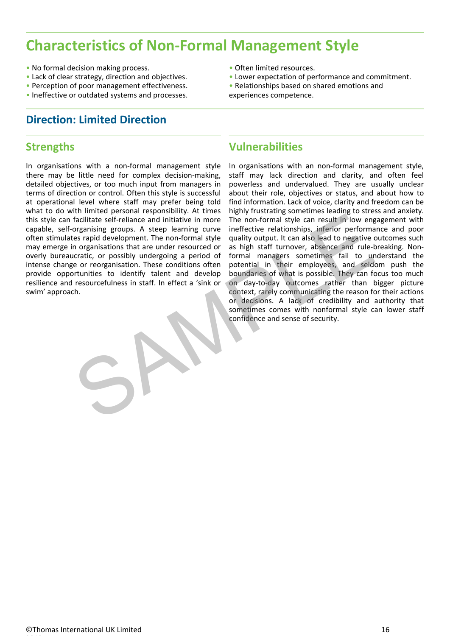### **Characteristics of Non-Formal Management Style**

- No formal decision making process.
- 
- Perception of poor management effectiveness.
- 

#### **Direction: Limited Direction**

#### **Strengths**

In organisations with a non-formal management style there may be little need for complex decision-making, detailed objectives, or too much input from managers in terms of direction or control. Often this style is successful at operational level where staff may prefer being told what to do with limited personal responsibility. At times this style can facilitate self-reliance and initiative in more capable, self-organising groups. A steep learning curve often stimulates rapid development. The non-formal style may emerge in organisations that are under resourced or overly bureaucratic, or possibly undergoing a period of intense change or reorganisation. These conditions often provide opportunities to identify talent and develop resilience and resourcefulness in staff. In effect a 'sink or swim' approach.

- 
- Lack of clear strategy, direction and objectives.<br>• Perception of poor management effectiveness.<br>• Relationships based on shared emotions and
- No formal decision making process.<br>• Lack of clear strategy, direction and objectives.<br>• Perception of poor management effectiveness.<br>• Ineffective or outdated systems and processes.<br>• Ineffective or outdated systems and

experiences competence.

#### **Vulnerabilities**

In organisations with an non-formal management style, staff may lack direction and clarity, and often feel powerless and undervalued. They are usually unclear about their role, objectives or status, and about how to find information. Lack of voice, clarity and freedom can be highly frustrating sometimes leading to stress and anxiety. The non-formal style can result in low engagement with ineffective relationships, inferior performance and poor quality output. It can also lead to negative outcomes such as high staff turnover, absence and rule-breaking. Nonformal managers sometimes fail to understand the potential in their employees, and seldom push the boundaries of what is possible. They can focus too much on day-to-day outcomes rather than bigger picture context, rarely communicating the reason for their actions or decisions. A lack of credibility and authority that sometimes comes with nonformal style can lower staff confidence and sense of security. Facilitate self-reliance and initiative in more The non-formal style can result in low eng<br>ansising groups. A steep learning curve ineffective relationships, inferior performal<br>organising groups. A steep learning tyle qual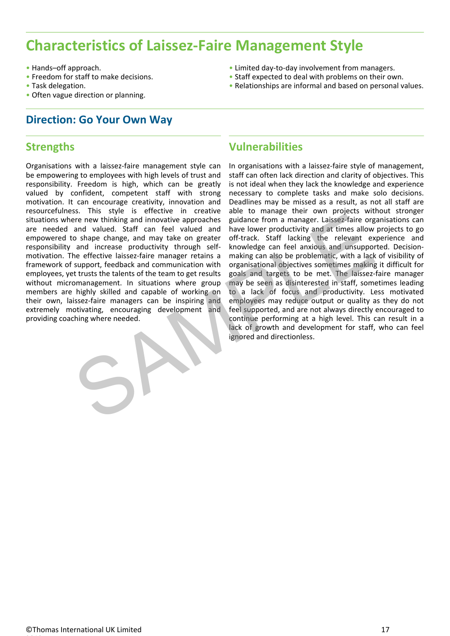### **Characteristics of Laissez-Faire Management Style**

- Hands–off approach.
- Freedom for staff to make decisions.
- 
- Task delegation.<br>• Often vague direction or planning.

### **Direction: Go Your Own Way**

#### **Strengths**

Organisations with a laissez-faire management style can be empowering to employees with high levels of trust and responsibility. Freedom is high, which can be greatly valued by confident, competent staff with strong motivation. It can encourage creativity, innovation and resourcefulness. This style is effective in creative situations where new thinking and innovative approaches are needed and valued. Staff can feel valued and empowered to shape change, and may take on greater responsibility and increase productivity through selfmotivation. The effective laissez-faire manager retains a framework of support, feedback and communication with employees, yet trusts the talents of the team to get results without micromanagement. In situations where group members are highly skilled and capable of working on their own, laissez-faire managers can be inspiring and extremely motivating, encouraging development and providing coaching where needed.

- 
- 
- Hands-off approach.<br>• Freedom for staff to make decisions.<br>• Task delegation.<br>• Often vague direction or planning.<br>• Often vague direction or planning.

### **Vulnerabilities**

In organisations with a laissez-faire style of management, staff can often lack direction and clarity of objectives. This is not ideal when they lack the knowledge and experience necessary to complete tasks and make solo decisions. Deadlines may be missed as a result, as not all staff are able to manage their own projects without stronger guidance from a manager. Laissez-faire organisations can have lower productivity and at times allow projects to go off-track. Staff lacking the relevant experience and knowledge can feel anxious and unsupported. Decisionmaking can also be problematic, with a lack of visibility of organisational objectives sometimes making it difficult for goals and targets to be met. The laissez-faire manager may be seen as disinterested in staff, sometimes leading to a lack of focus and productivity. Less motivated employees may reduce output or quality as they do not feel supported, and are not always directly encouraged to continue performing at a high level. This can result in a lack of growth and development for staff, who can feel ignored and directionless. Free new thinking and innovative approaches guidance from a manager. Laissez-faire organization and valued. Staff can feel valued and have lower productivity and at times allow o shape change, and may take on greater off-t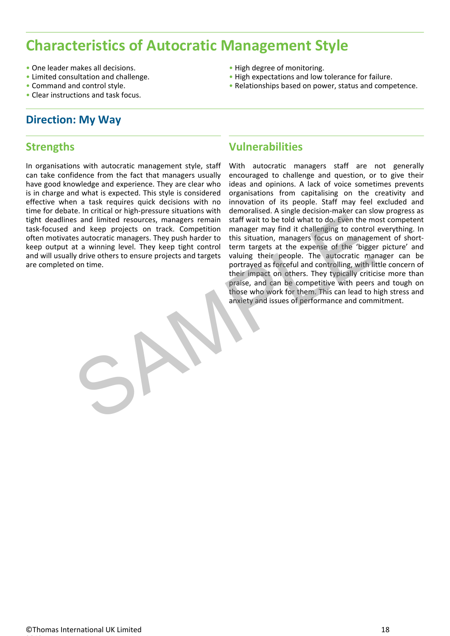### **Characteristics of Autocratic Management Style**

- One leader makes all decisions.
- Limited consultation and challenge.
- Command and control style.<br>• Clear instructions and task focus.
- 

#### **Direction: My Way**

#### **Strengths**

In organisations with autocratic management style, staff can take confidence from the fact that managers usually have good knowledge and experience. They are clear who is in charge and what is expected. This style is considered effective when a task requires quick decisions with no time for debate. In critical or high-pressure situations with tight deadlines and limited resources, managers remain task-focused and keep projects on track. Competition often motivates autocratic managers. They push harder to keep output at a winning level. They keep tight control and will usually drive others to ensure projects and targets are completed on time.

- 
- 
- One leader makes all decisions.<br>• Limited consultation and challenge.<br>• Command and control style.<br>• Clear instructions and task focus.<br>• Clear instructions and task focus.

#### **Vulnerabilities**

With autocratic managers staff are not generally encouraged to challenge and question, or to give their ideas and opinions. A lack of voice sometimes prevents organisations from capitalising on the creativity and innovation of its people. Staff may feel excluded and demoralised. A single decision-maker can slow progress as staff wait to be told what to do. Even the most competent manager may find it challenging to control everything. In this situation, managers focus on management of shortterm targets at the expense of the 'bigger picture' and valuing their people. The autocratic manager can be portrayed as forceful and controlling, with little concern of their impact on others. They typically criticise more than praise, and can be competitive with peers and tough on those who work for them. This can lead to high stress and anxiety and issues of performance and commitment. example the momentum of the studies and limited resources, managers remain staff wait to be told what to do. Even the m<br>and keep projects on track. Competition manager may find it challenging to control<br>at a winning level.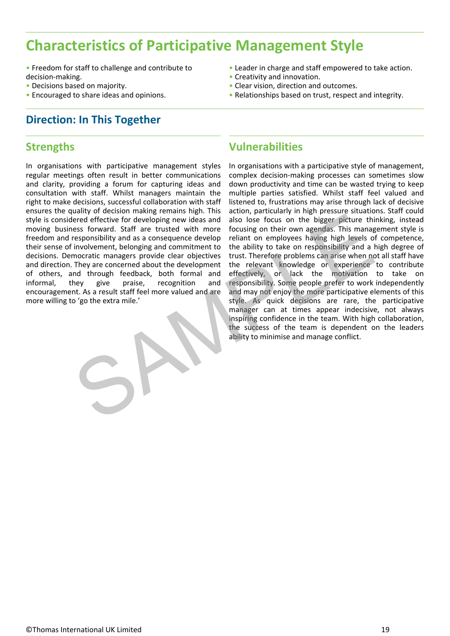### **Characteristics of Participative Management Style**

- Freedom for staff to challenge and contribute to **Leader in charge and staff empowered to take action.**<br>
 Creativity and innovation. • Freedom for staff to challenge and contribute to **• Leader in charge and staff empowered to take action.**<br>
• Creativity and innovation. • Clear vision, direction and outcomes.<br>
• Relationships based on trust, respect and
- 
- Decisions based on majority.<br>• Encouraged to share ideas and opinions.

#### **Direction: In This Together**

#### **Strengths**

In organisations with participative management styles regular meetings often result in better communications and clarity, providing a forum for capturing ideas and consultation with staff. Whilst managers maintain the right to make decisions, successful collaboration with staff ensures the quality of decision making remains high. This style is considered effective for developing new ideas and moving business forward. Staff are trusted with more freedom and responsibility and as a consequence develop their sense of involvement, belonging and commitment to decisions. Democratic managers provide clear objectives and direction. They are concerned about the development of others, and through feedback, both formal and encouragement. As a result staff feel more valued and are more willing to 'go the extra mile.'

- 
- 
- 
- 

#### **Vulnerabilities**

informal, they give praise, recognition and responsibility. Some people-prefer-to-work-independently In organisations with a participative style of management, complex decision-making processes can sometimes slow down productivity and time can be wasted trying to keep multiple parties satisfied. Whilst staff feel valued and listened to, frustrations may arise through lack of decisive action, particularly in high pressure situations. Staff could also lose focus on the bigger picture thinking, instead focusing on their own agendas. This management style is reliant on employees having high levels of competence, the ability to take on responsibility and a high degree of trust. Therefore problems can arise when not all staff have the relevant knowledge or experience to contribute effectively, or lack the motivation to take on and may not enjoy the more participative elements of this style. As quick decisions are rare, the participative manager can at times appear indecisive, not always inspiring confidence in the team. With high collaboration, the success of the team is dependent on the leaders ability to minimise and manage conflict. Frequency effective for developing new ideas and also lose focus on the bigger picture this<br>responsibility and as a consequence developing their countries of the bigger picture this<br>management of the ability to take on res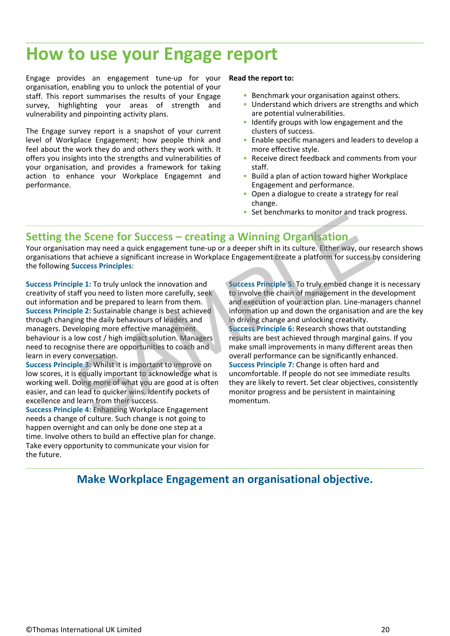### **How to use your Engage report**

Engage provides an engagement tune-up for your organisation, enabling you to unlock the potential of your staff. This report summarises the results of your Engage survey, highlighting your areas of strength and vulnerability and pinpointing activity plans.

The Engage survey report is a snapshot of your current level of Workplace Engagement; how people think and feel about the work they do and others they work with. It offers you insights into the strengths and vulnerabilities of your organisation, and provides a framework for taking action to enhance your Workplace Engagemnt and performance.

#### **Read the report to:**

- Benchmark your organisation against others.
- Understand which drivers are strengths and which are potential vulnerabilities.
- Identify groups with low engagement and the clusters of success.
- Enable specific managers and leaders to develop a more effective style.
- Receive direct feedback and comments from your staff.
- Build a plan of action toward higher Workplace Engagement and performance.
- Open a dialogue to create a strategy for real change.
- Set benchmarks to monitor and track progress.

#### **Setting the Scene for Success – creating a Winning Organisation**

Your organisation may need a quick engagement tune-up or a deeper shift in its culture. Either way, our research shows organisations that achieve a significant increase in Workplace Engagement create a platform for success by considering the following **Success Principles**:

**Success Principle 1:** To truly unlock the innovation and creativity of staff you need to listen more carefully, seek out information and be prepared to learn from them. **Success Principle 2:** Sustainable change is best achieved through changing the daily behaviours of leaders and managers. Developing more effective management behaviour is a low cost / high impact solution. Managers need to recognise there are opportunities to coach and learn in every conversation.

**Success Principle 3:** Whilst it is important to improve on low scores, it is equally important to acknowledge what is working well. Doing more of what you are good at is often easier, and can lead to quicker wins. Identify pockets of excellence and learn from their success.

**Success Principle 4:** Enhancing Workplace Engagement needs a change of culture. Such change is not going to happen overnight and can only be done one step at a time. Involve others to build an effective plan for change. Take every opportunity to communicate your vision for the future.

**Success Principle 5:** To truly embed change it is necessary to involve the chain of management in the development and execution of your action plan. Line-managers channel information up and down the organisation and are the key in driving change and unlocking creativity. **Success Principle 6:** Research shows that outstanding results are best achieved through marginal gains. If you make small improvements in many different areas then overall performance can be significantly enhanced. **Success Principle 7:** Change is often hard and uncomfortable. If people do not see immediate results they are likely to revert. Set clear objectives, consistently monitor progress and be persistent in maintaining momentum. **Example 5 Compared and the summarized and the summarized and the summarized and the summarized and the summarized and the summarized and the summarized and the summarized and the summarized and the properties. The compare** 

#### **Make Workplace Engagement an organisational objective.**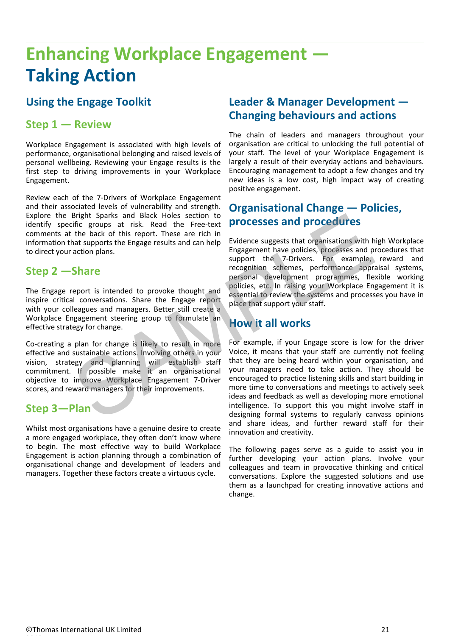## **Enhancing Workplace Engagement — Taking Action**

### **Using the Engage Toolkit**

#### **Step 1 — Review**

Workplace Engagement is associated with high levels of performance, organisational belonging and raised levels of personal wellbeing. Reviewing your Engage results is the first step to driving improvements in your Workplace Engagement.

Review each of the 7-Drivers of Workplace Engagement and their associated levels of vulnerability and strength. Explore the Bright Sparks and Black Holes section to identify specific groups at risk. Read the Free-text comments at the back of this report. These are rich in information that supports the Engage results and can help to direct your action plans.

#### **Step 2 —Share**

The Engage report is intended to provoke thought and inspire critical conversations. Share the Engage report with your colleagues and managers. Better still create a Workplace Engagement steering group to formulate an effective strategy for change.

Co-creating a plan for change is likely to result in more effective and sustainable actions. Involving others in your vision, strategy and planning will establish staff commitment. If possible make it an organisational objective to improve Workplace Engagement 7-Driver scores, and reward managers for their improvements.

#### **Step 3—Plan**

Whilst most organisations have a genuine desire to create a more engaged workplace, they often don't know where to begin. The most effective way to build Workplace Engagement is action planning through a combination of organisational change and development of leaders and managers. Together these factors create a virtuous cycle.

### **Leader & Manager Development — Changing behaviours and actions**

The chain of leaders and managers throughout your organisation are critical to unlocking the full potential of your staff. The level of your Workplace Engagement is largely a result of their everyday actions and behaviours. Encouraging management to adopt a few changes and try new ideas is a low cost, high impact way of creating positive engagement.

### **Organisational Change — Policies, processes and procedures**

Evidence suggests that organisations with high Workplace Engagement have policies, processes and procedures that support the 7-Drivers. For example, reward and recognition schemes, performance appraisal systems, personal development programmes, flexible working policies, etc. In raising your Workplace Engagement it is essential to review the systems and processes you have in place that support your staff.

### **How it all works**

For example, if your Engage score is low for the driver Voice, it means that your staff are currently not feeling that they are being heard within your organisation, and your managers need to take action. They should be encouraged to practice listening skills and start building in more time to conversations and meetings to actively seek ideas and feedback as well as developing more emotional intelligence. To support this you might involve staff in designing formal systems to regularly canvass opinions and share ideas, and further reward staff for their innovation and creativity. Bright Sparks and Black Holes section to<br>the back of this read the Free-text<br>the back of this report. These are rich in<br>at supports the Engage results and can help Evidence suggests that organisations with h<br>at support the

> The following pages serve as a guide to assist you in further developing your action plans. Involve your colleagues and team in provocative thinking and critical conversations. Explore the suggested solutions and use them as a launchpad for creating innovative actions and change.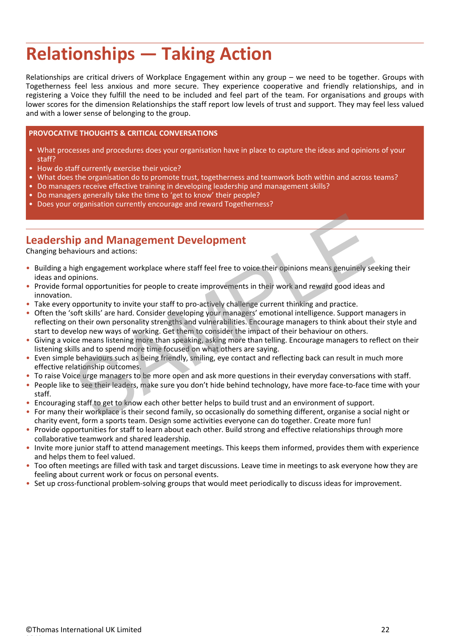## **Relationships — Taking Action**

Relationships are critical drivers of Workplace Engagement within any group – we need to be together. Groups with Togetherness feel less anxious and more secure. They experience cooperative and friendly relationships, and in registering a Voice they fulfill the need to be included and feel part of the team. For organisations and groups with lower scores for the dimension Relationships the staff report low levels of trust and support. They may feel less valued and with a lower sense of belonging to the group.

#### **PROVOCATIVE THOUGHTS & CRITICAL CONVERSATIONS**

- What processes and procedures does your organisation have in place to capture the ideas and opinions of your staff?
- How do staff currently exercise their voice? •
- What does the organisation do to promote trust, togetherness and teamwork both within and across teams?
- Do managers receive effective training in developing leadership and management skills?
- Do managers generally take the time to 'get to know' their people? The state of the state of the state of the
- Does your organisation currently encourage and reward Togetherness? •

#### **Leadership and Management Development**

Changing behaviours and actions:

- Building a high engagement workplace where staff feel free to voice their opinions means genuinely seeking their ideas and opinions.
- Provide formal opportunities for people to create improvements in their work and reward good ideas and innovation.
- Take every opportunity to invite your staff to pro-actively challenge current thinking and practice. •
- Often the 'soft skills' are hard. Consider developing your managers' emotional intelligence. Support managers in reflecting on their own personality strengths and vulnerabilities. Encourage managers to think about their style and start to develop new ways of working. Get them to consider the impact of their behaviour on others. **ip and Management Development**<br> **ip and Management Development**<br> **i**p and **Management** workplace where staff feel free to voice their opinions means genuinely se<br>
pinions.<br>
Imal opportunities for people to create improvem
- Giving a voice means listening more than speaking, asking more than telling. Encourage managers to reflect on their listening skills and to spend more time focused on what others are saying.
- Even simple behaviours such as being friendly, smiling, eye contact and reflecting back can result in much more effective relationship outcomes.
- To raise Voice urge managers to be more open and ask more questions in their everyday conversations with staff. •
- People like to see their leaders, make sure you don't hide behind technology, have more face-to-face time with your staff.
- Encouraging staff to get to know each other better helps to build trust and an environment of support. •
- For many their workplace is their second family, so occasionally do something different, organise a social night or charity event, form a sports team. Design some activities everyone can do together. Create more fun!
- Provide opportunities for staff to learn about each other. Build strong and effective relationships through more collaborative teamwork and shared leadership.
- Invite more junior staff to attend management meetings. This keeps them informed, provides them with experience and helps them to feel valued.
- Too often meetings are filled with task and target discussions. Leave time in meetings to ask everyone how they are feeling about current work or focus on personal events.
- Set up cross-functional problem-solving groups that would meet periodically to discuss ideas for improvement.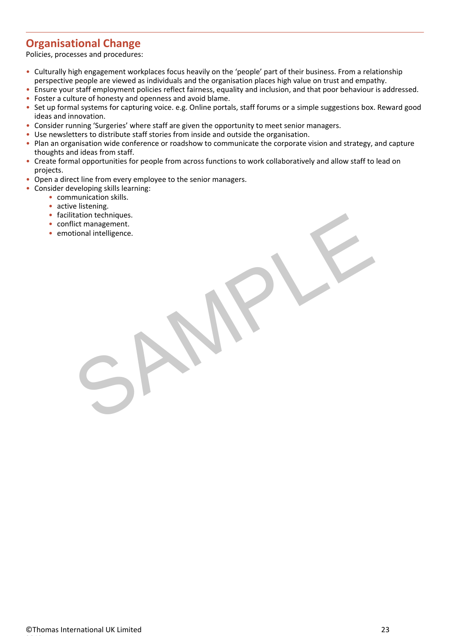### **Organisational Change**

Policies, processes and procedures:

- Culturally high engagement workplaces focus heavily on the 'people' part of their business. From a relationship perspective people are viewed as individuals and the organisation places high value on trust and empathy.
- Ensure your staff employment policies reflect fairness, equality and inclusion, and that poor behaviour is addressed.
- Foster a culture of honesty and openness and avoid blame. •
- Set up formal systems for capturing voice. e.g. Online portals, staff forums or a simple suggestions box. Reward good ideas and innovation.
- Consider running 'Surgeries' where staff are given the opportunity to meet senior managers. •
- Use newsletters to distribute staff stories from inside and outside the organisation. •
- Plan an organisation wide conference or roadshow to communicate the corporate vision and strategy, and capture thoughts and ideas from staff.
- Create formal opportunities for people from across functions to work collaboratively and allow staff to lead on projects.
- Open a direct line from every employee to the senior managers.
- Consider developing skills learning:
	- communication skills.
		- active listening.
		- facilitation techniques.
		- conflict management.
		- emotional intelligence. Etchniques.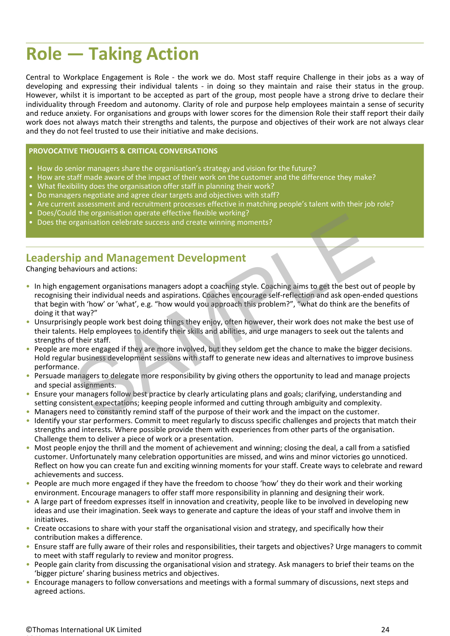## **Role — Taking Action**

Central to Workplace Engagement is Role - the work we do. Most staff require Challenge in their jobs as a way of developing and expressing their individual talents - in doing so they maintain and raise their status in the group. However, whilst it is important to be accepted as part of the group, most people have a strong drive to declare their individuality through Freedom and autonomy. Clarity of role and purpose help employees maintain a sense of security and reduce anxiety. For organisations and groups with lower scores for the dimension Role their staff report their daily work does not always match their strengths and talents, the purpose and objectives of their work are not always clear and they do not feel trusted to use their initiative and make decisions.

#### **PROVOCATIVE THOUGHTS & CRITICAL CONVERSATIONS**

- How do senior managers share the organisation's strategy and vision for the future?
- How are staff made aware of the impact of their work on the customer and the difference they make?
- What flexibility does the organisation offer staff in planning their work?<br>• Month flexibility does the organisation offer staff in planning their work?
- Do managers negotiate and agree clear targets and objectives with staff?
- Are current assessment and recruitment processes effective in matching people's talent with their job role?
- Does/Could the organisation operate effective flexible working?
- Does the organisation celebrate success and create winning moments?

#### **Leadership and Management Development**

Changing behaviours and actions:

- In high engagement organisations managers adopt a coaching style. Coaching aims to get the best out of people by recognising their individual needs and aspirations. Coaches encourage self-reflection and ask open-ended questions that begin with 'how' or 'what', e.g. "how would you approach this problem?", "what do think are the benefits of doing it that way?" is the originstation operate energy energy members of their working:<br>
The and Management Development<br>
and Management Development<br>
and Management operate success and create winning moments?<br>
and their individual needs and a
- Unsurprisingly people work best doing things they enjoy, often however, their work does not make the best use of their talents. Help employees to identify their skills and abilities, and urge managers to seek out the talents and strengths of their staff.
- People are more engaged if they are more involved, but they seldom get the chance to make the bigger decisions. Hold regular business development sessions with staff to generate new ideas and alternatives to improve business performance.
- Persuade managers to delegate more responsibility by giving others the opportunity to lead and manage projects and special assignments.
- Ensure your managers follow best practice by clearly articulating plans and goals; clarifying, understanding and setting consistent expectations; keeping people informed and cutting through ambiguity and complexity.
- Managers need to constantly remind staff of the purpose of their work and the impact on the customer. •
- Identify your star performers. Commit to meet regularly to discuss specific challenges and projects that match their strengths and interests. Where possible provide them with experiences from other parts of the organisation. Challenge them to deliver a piece of work or a presentation.
- Most people enjoy the thrill and the moment of achievement and winning; closing the deal, a call from a satisfied customer. Unfortunately many celebration opportunities are missed, and wins and minor victories go unnoticed. Reflect on how you can create fun and exciting winning moments for your staff. Create ways to celebrate and reward achievements and success.
- People are much more engaged if they have the freedom to choose 'how' they do their work and their working environment. Encourage managers to offer staff more responsibility in planning and designing their work.
- A large part of freedom expresses itself in innovation and creativity, people like to be involved in developing new ideas and use their imagination. Seek ways to generate and capture the ideas of your staff and involve them in initiatives.
- Create occasions to share with your staff the organisational vision and strategy, and specifically how their contribution makes a difference.
- Ensure staff are fully aware of their roles and responsibilities, their targets and objectives? Urge managers to commit to meet with staff regularly to review and monitor progress.
- People gain clarity from discussing the organisational vision and strategy. Ask managers to brief their teams on the 'bigger picture' sharing business metrics and objectives.
- Encourage managers to follow conversations and meetings with a formal summary of discussions, next steps and agreed actions.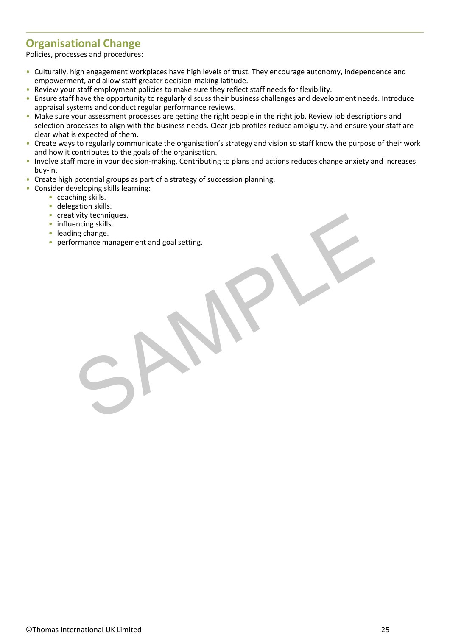### **Organisational Change**

Policies, processes and procedures:

- Culturally, high engagement workplaces have high levels of trust. They encourage autonomy, independence and empowerment, and allow staff greater decision-making latitude.
- Review your staff employment policies to make sure they reflect staff needs for flexibility.
- Ensure staff have the opportunity to regularly discuss their business challenges and development needs. Introduce appraisal systems and conduct regular performance reviews.
- Make sure your assessment processes are getting the right people in the right job. Review job descriptions and selection processes to align with the business needs. Clear job profiles reduce ambiguity, and ensure your staff are clear what is expected of them.
- Create ways to regularly communicate the organisation's strategy and vision so staff know the purpose of their work and how it contributes to the goals of the organisation.
- Involve staff more in your decision-making. Contributing to plans and actions reduces change anxiety and increases buy-in.
- Create high potential groups as part of a strategy of succession planning.
- Consider developing skills learning:
	- coaching skills.
	- delegation skills.
	- creativity techniques.
	- influencing skills.
	- leading change.
	- performance management and goal setting. tivity techniques.<br>
	ing change.<br>
	ormance management and goal setting.<br>
	Commance management and goal setting.<br>
	Commance management and goal setting.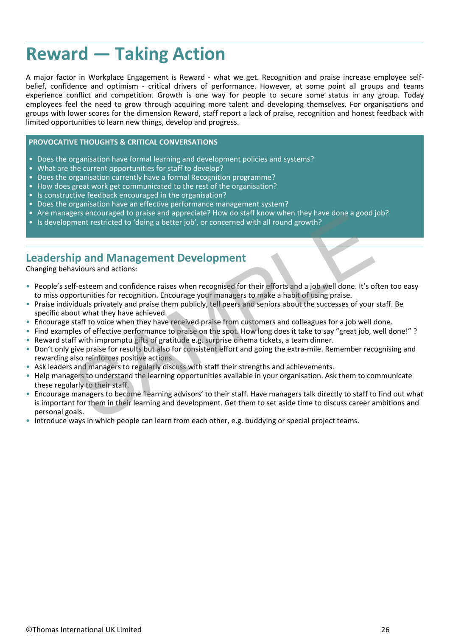## **Reward — Taking Action**

A major factor in Workplace Engagement is Reward - what we get. Recognition and praise increase employee selfbelief, confidence and optimism - critical drivers of performance. However, at some point all groups and teams experience conflict and competition. Growth is one way for people to secure some status in any group. Today employees feel the need to grow through acquiring more talent and developing themselves. For organisations and groups with lower scores for the dimension Reward, staff report a lack of praise, recognition and honest feedback with limited opportunities to learn new things, develop and progress.

#### **PROVOCATIVE THOUGHTS & CRITICAL CONVERSATIONS**

- Does the organisation have formal learning and development policies and systems?
- What are the current opportunities for staff to develop? What are seen as a set of the state of the state of
- Does the organisation currently have a formal Recognition programme? The contraction of the contraction of the
- How does great work get communicated to the rest of the organisation?
- Is constructive feedback encouraged in the organisation? The construction of the construction of the construction
- Does the organisation have an effective performance management system?
- Are managers encouraged to praise and appreciate? How do staff know when they have done a good job?
- Is development restricted to 'doing a better job', or concerned with all round growth?<br>• Is development restricted to 'doing a better job', or concerned with all round growth?

#### **Leadership and Management Development**

Changing behaviours and actions:

- People's self-esteem and confidence raises when recognised for their efforts and a job well done. It's often too easy to miss opportunities for recognition. Encourage your managers to make a habit of using praise.
- Praise individuals privately and praise them publicly, tell peers and seniors about the successes of your staff. Be specific about what they have achieved.
- Encourage staff to voice when they have received praise from customers and colleagues for a job well done. •
- Find examples of effective performance to praise on the spot. How long does it take to say "great job, well done!"? Reward staff with impromptu gifts of gratitude e.g. surprise cinema tickets, a team dinner. •
- Don't only give praise for results but also for consistent effort and going the extra-mile. Remember recognising and rewarding also reinforces positive actions.
- Ask leaders and managers to regularly discuss with staff their strengths and achievements.
- Help managers to understand the learning opportunities available in your organisation. Ask them to communicate these regularly to their staff.
- Encourage managers to become 'learning advisors' to their staff. Have managers talk directly to staff to find out what is important for them in their learning and development. Get them to set aside time to discuss career ambitions and personal goals. • Are managers encourage to praise and appreciate? How wo stail stick which intervalse a good<br>
• Is development restricted to 'doing a better job', or concerned with all round growth?<br>
• Representing the avoiding a better
- Introduce ways in which people can learn from each other, e.g. buddying or special project teams.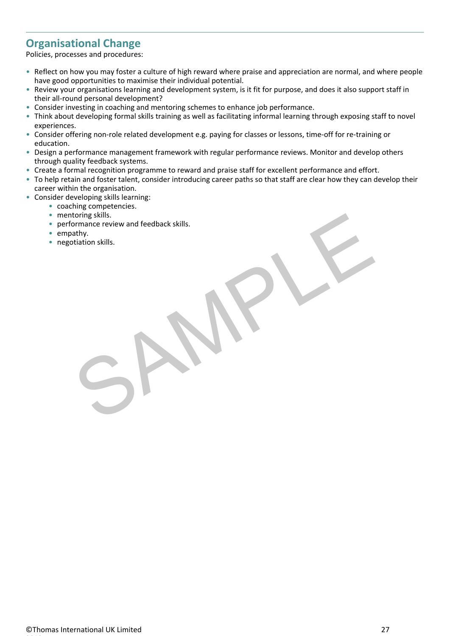### **Organisational Change**

Policies, processes and procedures:

- Reflect on how you may foster a culture of high reward where praise and appreciation are normal, and where people have good opportunities to maximise their individual potential.
- Review your organisations learning and development system, is it fit for purpose, and does it also support staff in their all-round personal development?
- Consider investing in coaching and mentoring schemes to enhance job performance. •
- Think about developing formal skills training as well as facilitating informal learning through exposing staff to novel experiences.
- Consider offering non-role related development e.g. paying for classes or lessons, time-off for re-training or education.
- Design a performance management framework with regular performance reviews. Monitor and develop others through quality feedback systems.
- Create a formal recognition programme to reward and praise staff for excellent performance and effort. •
- To help retain and foster talent, consider introducing career paths so that staff are clear how they can develop their career within the organisation.
- Consider developing skills learning:
	- coaching competencies.
	- mentoring skills.
	- performance review and feedback skills. toring skills.<br>
	Office review and feedback skills.<br>
	athy.<br>
	Charlotten skills.
	- empathy.
	- negotiation skills.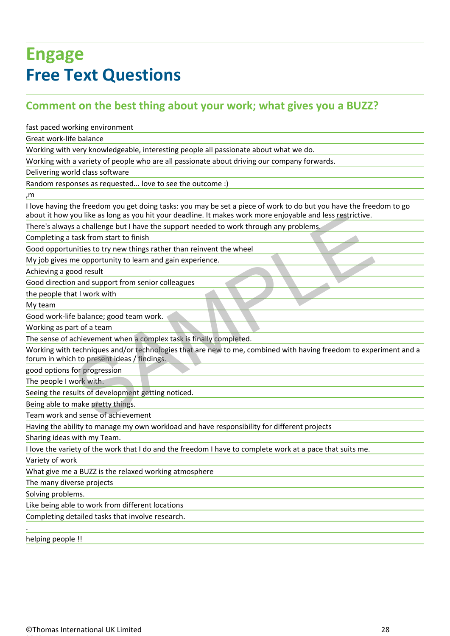## **Engage Free Text Questions**

### **Comment on the best thing about your work; what gives you a BUZZ?**

fast paced working environment

Great work-life balance

Working with very knowledgeable, interesting people all passionate about what we do.

Working with a variety of people who are all passionate about driving our company forwards.

Delivering world class software

Random responses as requested... love to see the outcome :)

,m

I love having the freedom you get doing tasks: you may be set a piece of work to do but you have the freedom to go about it how you like as long as you hit your deadline. It makes work more enjoyable and less restrictive.

There's always a challenge but I have the support needed to work through any problems.

Completing a task from start to finish

Good opportunities to try new things rather than reinvent the wheel

My job gives me opportunity to learn and gain experience.

Achieving a good result

Good direction and support from senior colleagues

the people that I work with

My team and the contract of the contract of the contract of the contract of the contract of the contract of the contract of the contract of the contract of the contract of the contract of the contract of the contract of th

Good work-life balance; good team work.

Working as part of a team

The sense of achievement when a complex task is finally completed.

Working with techniques and/or technologies that are new to me, combined with having freedom to experiment and a forum in which to present ideas / findings. rou like as long as you hit your deadline. It makes work more enjoyable and less restrictive.<br>Sa challenge but I have the support needed to work through any problems.<br>It as from start to finish<br>unities to try new things ra

good options for progression

The people I work with.

Seeing the results of development getting noticed.

Being able to make pretty things.

Team work and sense of achievement

Having the ability to manage my own workload and have responsibility for different projects

Sharing ideas with my Team.

I love the variety of the work that I do and the freedom I have to complete work at a pace that suits me.

Variety of work

What give me a BUZZ is the relaxed working atmosphere

The many diverse projects

Solving problems.

Like being able to work from different locations

Completing detailed tasks that involve research.

helping people !!